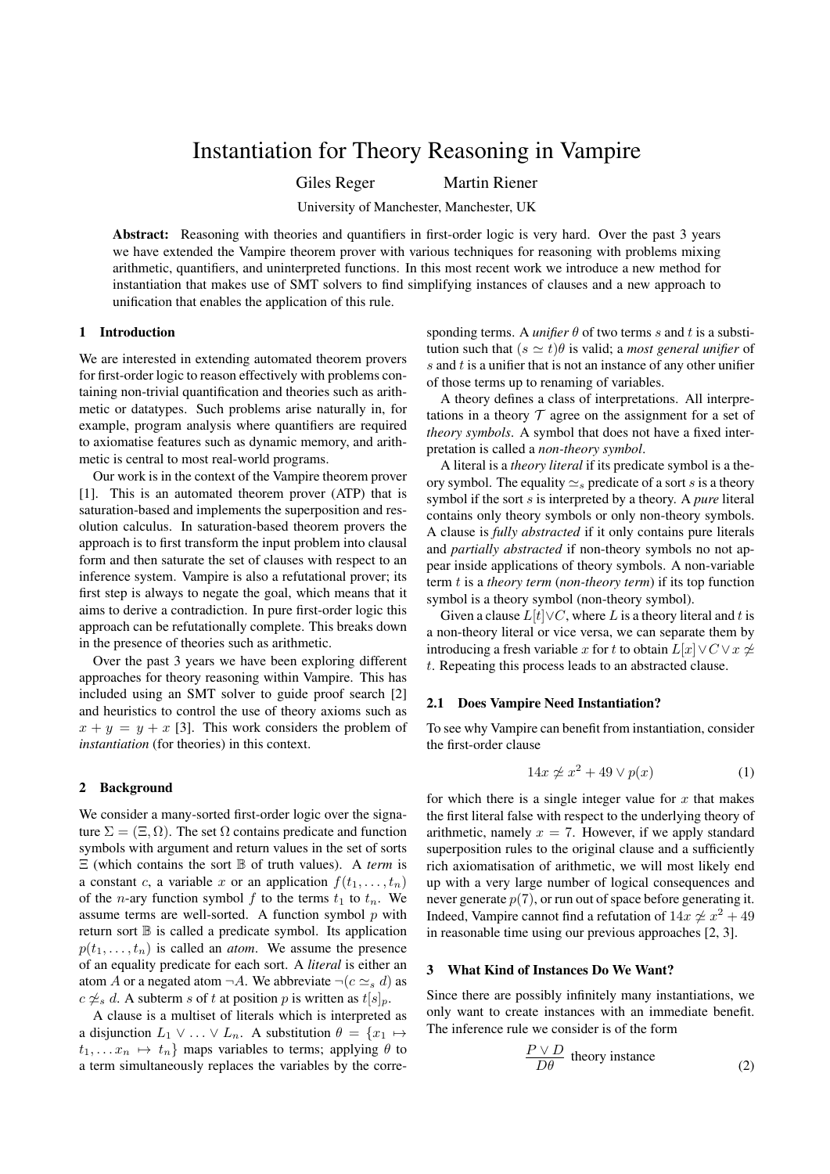# Instantiation for Theory Reasoning in Vampire

Giles Reger Martin Riener

University of Manchester, Manchester, UK

Abstract: Reasoning with theories and quantifiers in first-order logic is very hard. Over the past 3 years we have extended the Vampire theorem prover with various techniques for reasoning with problems mixing arithmetic, quantifiers, and uninterpreted functions. In this most recent work we introduce a new method for instantiation that makes use of SMT solvers to find simplifying instances of clauses and a new approach to unification that enables the application of this rule.

## 1 Introduction

We are interested in extending automated theorem provers for first-order logic to reason effectively with problems containing non-trivial quantification and theories such as arithmetic or datatypes. Such problems arise naturally in, for example, program analysis where quantifiers are required to axiomatise features such as dynamic memory, and arithmetic is central to most real-world programs.

Our work is in the context of the Vampire theorem prover [1]. This is an automated theorem prover (ATP) that is saturation-based and implements the superposition and resolution calculus. In saturation-based theorem provers the approach is to first transform the input problem into clausal form and then saturate the set of clauses with respect to an inference system. Vampire is also a refutational prover; its first step is always to negate the goal, which means that it aims to derive a contradiction. In pure first-order logic this approach can be refutationally complete. This breaks down in the presence of theories such as arithmetic.

Over the past 3 years we have been exploring different approaches for theory reasoning within Vampire. This has included using an SMT solver to guide proof search [2] and heuristics to control the use of theory axioms such as  $x + y = y + x$  [3]. This work considers the problem of *instantiation* (for theories) in this context.

## 2 Background

We consider a many-sorted first-order logic over the signature  $\Sigma = (\Xi, \Omega)$ . The set  $\Omega$  contains predicate and function symbols with argument and return values in the set of sorts Ξ (which contains the sort B of truth values). A *term* is a constant c, a variable x or an application  $f(t_1, \ldots, t_n)$ of the *n*-ary function symbol f to the terms  $t_1$  to  $t_n$ . We assume terms are well-sorted. A function symbol  $p$  with return sort B is called a predicate symbol. Its application  $p(t_1, \ldots, t_n)$  is called an *atom*. We assume the presence of an equality predicate for each sort. A *literal* is either an atom A or a negated atom  $\neg A$ . We abbreviate  $\neg (c \simeq_s d)$  as  $c \not\cong_s d$ . A subterm s of t at position p is written as  $t[s]_p$ .

A clause is a multiset of literals which is interpreted as a disjunction  $L_1 \vee \ldots \vee L_n$ . A substitution  $\theta = \{x_1 \mapsto$  $t_1, \ldots, x_n \mapsto t_n$  maps variables to terms; applying  $\theta$  to a term simultaneously replaces the variables by the corresponding terms. A *unifier*  $\theta$  of two terms s and t is a substitution such that  $(s \simeq t)\theta$  is valid; a *most general unifier* of  $s$  and  $t$  is a unifier that is not an instance of any other unifier of those terms up to renaming of variables.

A theory defines a class of interpretations. All interpretations in a theory  $T$  agree on the assignment for a set of *theory symbols*. A symbol that does not have a fixed interpretation is called a *non-theory symbol*.

A literal is a *theory literal* if its predicate symbol is a theory symbol. The equality  $\simeq_s$  predicate of a sort s is a theory symbol if the sort s is interpreted by a theory. A *pure* literal contains only theory symbols or only non-theory symbols. A clause is *fully abstracted* if it only contains pure literals and *partially abstracted* if non-theory symbols no not appear inside applications of theory symbols. A non-variable term t is a *theory term* (*non-theory term*) if its top function symbol is a theory symbol (non-theory symbol).

Given a clause  $L[t]\vee C$ , where L is a theory literal and t is a non-theory literal or vice versa, we can separate them by introducing a fresh variable x for t to obtain  $L[x] \vee C \vee x \neq 0$ t. Repeating this process leads to an abstracted clause.

#### 2.1 Does Vampire Need Instantiation?

To see why Vampire can benefit from instantiation, consider the first-order clause

$$
14x \not\simeq x^2 + 49 \lor p(x) \tag{1}
$$

for which there is a single integer value for  $x$  that makes the first literal false with respect to the underlying theory of arithmetic, namely  $x = 7$ . However, if we apply standard superposition rules to the original clause and a sufficiently rich axiomatisation of arithmetic, we will most likely end up with a very large number of logical consequences and never generate  $p(7)$ , or run out of space before generating it. Indeed, Vampire cannot find a refutation of  $14x \not\approx x^2 + 49$ in reasonable time using our previous approaches [2, 3].

# 3 What Kind of Instances Do We Want?

Since there are possibly infinitely many instantiations, we only want to create instances with an immediate benefit. The inference rule we consider is of the form

$$
\frac{P \vee D}{D\theta}
$$
 theory instance (2)